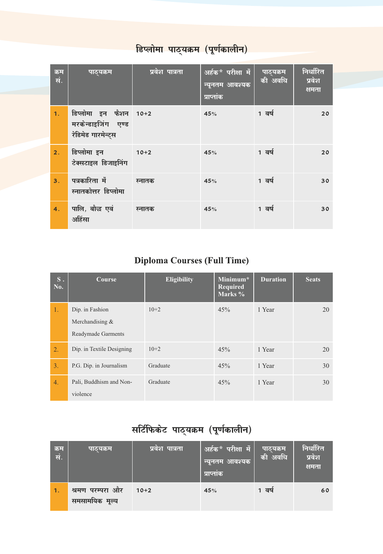| क्रम<br>सं. | पाठ्यक्रम                                                         | प्रवेश पात्रता | अर्हक* परीक्षा में<br>न्यूनतम आवश्यक<br>प्राप्तांक | पाठ्यक्रम<br>की अवधि | निर्धारित<br>प्रवेश<br>क्षमता |
|-------------|-------------------------------------------------------------------|----------------|----------------------------------------------------|----------------------|-------------------------------|
| 1.          | डिप्लोमा इन फैशन 10+2<br>मरकेन्डाइजिंग एण्ड<br>रेडिमेड गारमेन्ट्स |                | 45%                                                | 1 वर्ष               | 20                            |
| 2.          | डिप्लोमा इन<br>टेक्सटाइल डिजाइनिंग                                | $10+2$         | 45%                                                | 1 वर्ष               | 20                            |
| 3.          | पत्रकारिता में<br>स्नातकोत्तर डिप्लोमा                            | स्नातक         | 45%                                                | 1 वर्ष               | 30                            |
| 4.          | पालि, बौद्ध एवं<br>अहिंसा                                         | स्नातक         | 45%                                                | 1 वर्ष               | 30                            |

## <mark>डिप्लोमा पाठ्यक्रम (पूर्णकालीन)</mark>

## Diploma Courses (Full Time)

| $S$ .<br>No. | Course                    | <b>Eligibility</b> | Minimum*<br><b>Required</b><br>Marks % | <b>Duration</b> | <b>Seats</b> |
|--------------|---------------------------|--------------------|----------------------------------------|-----------------|--------------|
| 1.           | Dip. in Fashion           | $10+2$             | 45%                                    | 1 Year          | 20           |
|              | Merchandising $&$         |                    |                                        |                 |              |
|              | Readymade Garments        |                    |                                        |                 |              |
| 2.           | Dip. in Textile Designing | $10+2$             | 45%                                    | 1 Year          | 20           |
| 3.           | P.G. Dip. in Journalism   | Graduate           | 45%                                    | 1 Year          | 30           |
| 4.           | Pali, Buddhism and Non-   | Graduate           | 45%                                    | 1 Year          | 30           |
|              | violence                  |                    |                                        |                 |              |

## सर्टिफिकेट पाठ्यक्रम (पूर्णकालीन)

| क्रम<br>सं. | पाठ्यक्रम                          | प्रवेश पात्रता | अर्हक* परीक्षा में<br>न्यूनतम आवश्यक<br>प्राप्तांक | पाठ्यक्रम<br>की अवधि | निर्धारित<br>प्रवेश<br>क्षमता |
|-------------|------------------------------------|----------------|----------------------------------------------------|----------------------|-------------------------------|
| 1.1         | श्रमण परम्परा और<br>समसामयिक मूल्य | $10+2$         | 45%                                                | 1 वर्ष               | 60                            |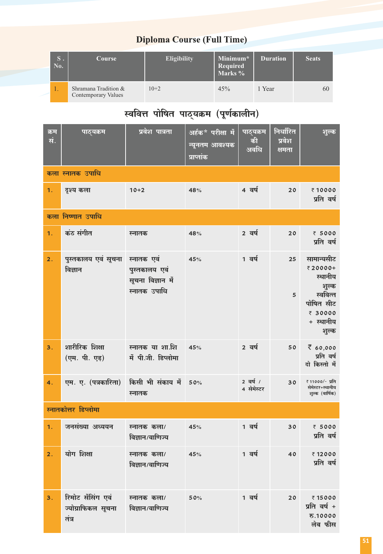### **Diploma Course (Full Time)**

| $S$ .<br>No. | Course                                             | Eligibility | Minimum*<br>Required<br>Marks % | <b>Duration</b> | <b>Seats</b> |
|--------------|----------------------------------------------------|-------------|---------------------------------|-----------------|--------------|
| 1.           | Shramana Tradition &<br><b>Contemporary Values</b> | $10+2$      | 45%                             | 1 Year          | 60           |

## स्ववित्त पोषित पाठ्यक्रम (पूर्णकालीन)

| क्रम<br>सं.      | पाठ्यक्रम                                        | प्रवेश पात्रता                                                   | अर्हक* परीक्षा में<br>न्यूनतम आवश्यक<br>प्राप्तांक | पाठ्यक्रम<br>की<br>अवधि | निर्धारित<br>प्रवेश<br>क्षमता | शुल्क                                                                                               |
|------------------|--------------------------------------------------|------------------------------------------------------------------|----------------------------------------------------|-------------------------|-------------------------------|-----------------------------------------------------------------------------------------------------|
|                  | कला स्नातक उपाधि                                 |                                                                  |                                                    |                         |                               |                                                                                                     |
| 1.               | दृश्य कला                                        | $10+2$                                                           | 48%                                                | 4 वर्ष                  | 20                            | ₹10000<br>प्रति वर्ष                                                                                |
|                  | कला निष्णात उपाधि                                |                                                                  |                                                    |                         |                               |                                                                                                     |
| 1.               | कंठ संगीत                                        | स्नातक                                                           | 48%                                                | 2 वर्ष                  | 20                            | ₹ 5000<br>प्रति वर्ष                                                                                |
| 2.               | पुस्तकालय एवं सूचना<br>विज्ञान                   | स्नातक एवं<br>पुस्तकालय एवं<br>सूचना विज्ञान में<br>स्नातक उपाधि | 45%                                                | 1 वर्ष                  | 25<br>5                       | सामान्यसीट<br>₹20000+<br>स्थानीय<br>शुल्क<br>स्ववित्त<br>पोषित सीट<br>₹ 30000<br>+ स्थानीय<br>शुल्क |
| 3.               | शारीरिक शिक्षा<br>(एम. पी. एड़)                  | स्नातक या शा.शि<br>में पी.जी. डिप्लोमा                           | 45%                                                | 2 वर्ष                  | 50                            | 760,000<br>प्रति वर्ष<br>दो किस्तो में                                                              |
| 4.               | एम. ए. (पत्रकारिता)                              | किसी भी संकाय में<br>स्नातक                                      | 50%                                                | 2 वर्ष /<br>4 सेमेस्टर  | 30                            | ₹ 11000/- प्रति<br>सेमेस्टर+स्थानीय<br>शुल्क (वार्षिक)                                              |
|                  | स्नातकोत्तर डिप्लोमा                             |                                                                  |                                                    |                         |                               |                                                                                                     |
| 1.               | जनसंख्या अध्ययन                                  | स्नातक कला/<br>विज्ञान/वाणिज्य                                   | 45%                                                | 1 वर्ष                  | 30                            | ₹ 5000<br>प्रति वर्ष                                                                                |
| $\overline{2}$ . | योग शिक्षा                                       | स्नातक कला/<br>विज्ञान/वाणिज्य                                   | 45%                                                | 1 वर्ष                  | 40                            | ₹12000<br>प्रति वर्ष                                                                                |
| 3.               | रिमोट सेंसिंग एवं<br>ज्योग्राफिकल सूचना<br>तंत्र | स्नातक कला/<br>विज्ञान/वाणिज्य                                   | 50%                                                | 1 वर्ष                  | 20                            | ₹15000<br>प्रति वर्ष +<br>रु.10000<br>लेब फीस                                                       |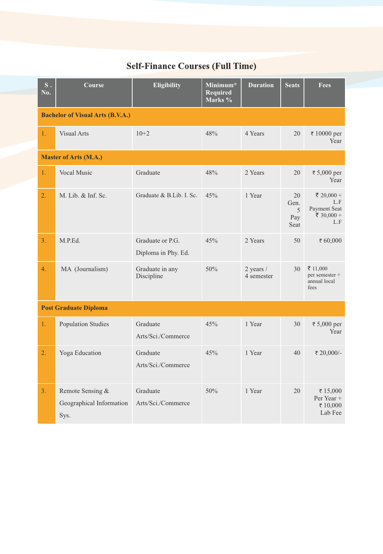## **Self-Finance Courses (Full Time)**

| S.<br>No. | Course                                               | <b>Eligibility</b>                      | Minimum*<br><b>Required</b><br>Marks % | <b>Duration</b>         | <b>Seats</b>                   | <b>Fees</b>                                            |  |  |  |  |
|-----------|------------------------------------------------------|-----------------------------------------|----------------------------------------|-------------------------|--------------------------------|--------------------------------------------------------|--|--|--|--|
|           | <b>Bachelor of Visual Arts (B.V.A.)</b>              |                                         |                                        |                         |                                |                                                        |  |  |  |  |
| 1.        | <b>Visual Arts</b>                                   | $10+2$                                  | 48%                                    | 4 Years                 | 20                             | ₹ 10000 per<br>Year                                    |  |  |  |  |
|           | <b>Master of Arts (M.A.)</b>                         |                                         |                                        |                         |                                |                                                        |  |  |  |  |
| 1.        | <b>Vocal Music</b>                                   | Graduate                                | 48%                                    | 2 Years                 | 20                             | ₹ 5,000 per<br>Year                                    |  |  |  |  |
| 2.        | M. Lib. & Inf. Sc.                                   | Graduate & B.Lib. I. Sc.                | 45%                                    | 1 Year                  | 20<br>Gen.<br>5<br>Pay<br>Seat | ₹ 20,000 +<br>L.F<br>Payment Seat<br>₹ 30,000 +<br>L.F |  |  |  |  |
| 3.        | M.P.Ed.                                              | Graduate or P.G.<br>Diploma in Phy. Ed. | 45%                                    | 2 Years                 | 50                             | ₹ 60,000                                               |  |  |  |  |
| 4.        | MA (Journalism)                                      | Graduate in any<br>Discipline           | 50%                                    | 2 years /<br>4 semester | 30                             | ₹ 11,000<br>per semester +<br>annual local<br>fees     |  |  |  |  |
|           | <b>Post Graduate Diploma</b>                         |                                         |                                        |                         |                                |                                                        |  |  |  |  |
| 1.        | <b>Population Studies</b>                            | Graduate<br>Arts/Sci./Commerce          | 45%                                    | 1 Year                  | 30                             | ₹ 5,000 per<br>Year                                    |  |  |  |  |
| 2.        | Yoga Education                                       | Graduate<br>Arts/Sci./Commerce          | 45%                                    | 1 Year                  | 40                             | ₹ 20,000/-                                             |  |  |  |  |
| 3.        | Remote Sensing &<br>Geographical Information<br>Sys. | Graduate<br>Arts/Sci./Commerce          | 50%                                    | 1 Year                  | 20                             | ₹15,000<br>Per Year +<br>₹ 10,000<br>Lab Fee           |  |  |  |  |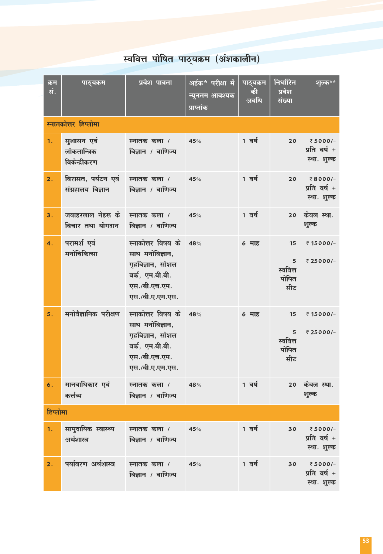# स्ववित्त पोषित पाठ्यक्रम (अंशकालीन)

| क्रम<br>सं.      | पाठ्यक्रम                                   | प्रवेश पात्रता                                                                                                   | <u>अर्हक* परीक्षा में</u><br>न्यूनतम आवश्यक<br>प्राप्तांक | पाठ्यक्रम<br>की<br>अवधि | निर्धारित<br>प्रवेश<br>संख्या       | <u>शुल्क**</u>                         |
|------------------|---------------------------------------------|------------------------------------------------------------------------------------------------------------------|-----------------------------------------------------------|-------------------------|-------------------------------------|----------------------------------------|
|                  | स्नातकोत्तर डिप्लोमा                        |                                                                                                                  |                                                           |                         |                                     |                                        |
| 1.               | सुशासन एवं<br>लोकतान्त्रिक<br>विकेन्द्रीकरण | स्नातक कला /<br>विज्ञान / वाणिज्य                                                                                | 45%                                                       | 1 वर्ष                  | 20                                  | ₹5000/-<br>प्रति वर्ष +<br>स्था. शुल्क |
| 2.               | विरासत, पर्यटन एवं<br>संग्रहालय विज्ञान     | स्नातक कला /<br>विज्ञान / वाणिज्य                                                                                | 45%                                                       | 1 वर्ष                  | 20                                  | ₹8000/-<br>प्रति वर्ष +<br>स्था. शुल्क |
| 3.               | जवाहरलाल नेहरू के<br>विचार तथा योगदान       | स्नातक कला /<br>विज्ञान / वाणिज्य                                                                                | 45%                                                       | 1 वर्ष                  | 20                                  | केवल स्था.<br>शुल्क                    |
| $\overline{4}$ . | परामर्श एवं<br>मनोचिकित्सा                  | स्नाकोत्तर विषय के<br>साथ मनोविज्ञान,<br>गृहविज्ञान, सोशल<br>वर्क, एम.बी.बी.<br>एस./बी.एच.एम.<br>एस./बी.ए.एम.एस. | 48%                                                       | 6 माह                   | 15<br>5<br>स्ववित्त<br>पोषित<br>सीट | ₹15000/-<br>₹25000/-                   |
| 5.               | मनोवैज्ञानिक परीक्षण                        | स्नाकोत्तर विषय के<br>साथ मनोविज्ञान,<br>गृहविज्ञान, सोशल<br>वर्क, एम.बी.बी.<br>एस./बी.एच.एम.<br>एस./बी.ए.एम.एस. | 48%                                                       | 6 माह                   | 15<br>5<br>स्ववित्त<br>पोषित<br>सीट | ₹15000/-<br>₹25000/-                   |
| 6.               | मानवाधिकार एवं<br>कर्त्तव्य                 | स्नातक कला /<br>विज्ञान / वाणिज्य                                                                                | 48%                                                       | 1 वर्ष                  | 20                                  | केवल स्था.<br>शुल्क                    |
| डिप्लोमा         |                                             |                                                                                                                  |                                                           |                         |                                     |                                        |
| 1.               | सामुदायिक स्वास्थ्य<br>अर्थशास्त्र          | स्नातक कला /<br>विज्ञान / वाणिज्य                                                                                | 45%                                                       | 1 वर्ष                  | 30                                  | ₹5000/-<br>प्रति वर्ष +<br>स्था. शुल्क |
| 2.               | पर्यावरण अर्थशास्त्र                        | स्नातक कला /<br>विज्ञान / वाणिज्य                                                                                | 45%                                                       | 1 वर्ष                  | 30                                  | ₹5000/-<br>प्रति वर्ष +<br>स्था. शुल्क |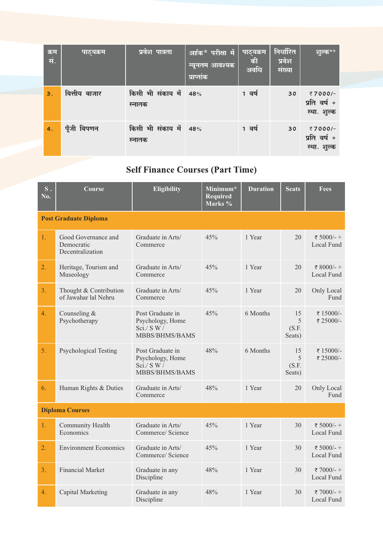| क्रम<br>सं. | पाठ्यक्रम     | प्रवेश पात्रता                  | अर्हक* परीक्षा में<br>न्यूनतम आवश्यक<br>प्राप्तांक | पाठ्यक्रम<br>की<br>अवधि | निर्धारित<br>प्रवेश<br>संख्या | शुल्क**                                |
|-------------|---------------|---------------------------------|----------------------------------------------------|-------------------------|-------------------------------|----------------------------------------|
| 3.          | वित्तीय बाजार | किसी भी संकाय में  <br>स्नातक   | 48%                                                | 1 वर्ष                  | 30                            | ₹7000/-<br>प्रति वर्ष +<br>स्था. शुल्क |
| 4.          | पूँजी विपणन   | किसी भी संकाय में 48%<br>स्नातक |                                                    | 1 वर्ष                  | 30                            | ₹7000/-<br>प्रति वर्ष +<br>स्था. शुल्क |

### **Self Finance Courses (Part Time)**

| $S$ .<br>No. | Course                                                | <b>Eligibility</b>                                                          | Minimum*<br><b>Required</b><br>Marks % | <b>Duration</b> | <b>Seats</b>               | Fees                     |  |  |  |
|--------------|-------------------------------------------------------|-----------------------------------------------------------------------------|----------------------------------------|-----------------|----------------------------|--------------------------|--|--|--|
|              | <b>Post Graduate Diploma</b>                          |                                                                             |                                        |                 |                            |                          |  |  |  |
| 1.           | Good Governance and<br>Democratic<br>Decentralization | Graduate in Arts/<br>Commerce                                               | 45%                                    | 1 Year          | 20                         | ₹ 5000/-+<br>Local Fund  |  |  |  |
| 2.           | Heritage, Tourism and<br>Museology                    | Graduate in Arts/<br>Commerce                                               | 45%                                    | 1 Year          | 20                         | ₹ 8000/- +<br>Local Fund |  |  |  |
| 3.           | Thought & Contribution<br>of Jawahar lal Nehru        | Graduate in Arts/<br>Commerce                                               | 45%                                    | 1 Year          | 20                         | Only Local<br>Fund       |  |  |  |
| 4.           | Counseling $&$<br>Psychotherapy                       | Post Graduate in<br>Psychology, Home<br>$\rm Sci./$ S W /<br>MBBS/BHMS/BAMS | 45%                                    | 6 Months        | 15<br>5<br>(S.F.<br>Seats) | ₹15000/-<br>₹ 25000/-    |  |  |  |
| 5.           | <b>Psychological Testing</b>                          | Post Graduate in<br>Psychology, Home<br>Sci. / S W /<br>MBBS/BHMS/BAMS      | 48%                                    | 6 Months        | 15<br>5<br>(S.F.<br>Seats) | ₹15000/-<br>₹ 25000/-    |  |  |  |
| 6.           | Human Rights & Duties                                 | Graduate in Arts/<br>Commerce                                               | 48%                                    | 1 Year          | 20                         | Only Local<br>Fund       |  |  |  |
|              | <b>Diploma Courses</b>                                |                                                                             |                                        |                 |                            |                          |  |  |  |
| 1.           | Community Health<br>Economics                         | Graduate in Arts/<br>Commerce/ Science                                      | 45%                                    | 1 Year          | 30                         | ₹ 5000/-+<br>Local Fund  |  |  |  |
| 2.           | <b>Environment Economics</b>                          | Graduate in Arts/<br>Commerce/ Science                                      | 45%                                    | 1 Year          | 30                         | ₹ 5000/-+<br>Local Fund  |  |  |  |
| 3.           | <b>Financial Market</b>                               | Graduate in any<br>Discipline                                               | 48%                                    | 1 Year          | 30                         | ₹ 7000/-+<br>Local Fund  |  |  |  |
| 4.           | Capital Marketing                                     | Graduate in any<br>Discipline                                               | 48%                                    | 1 Year          | 30                         | ₹7000/-+<br>Local Fund   |  |  |  |